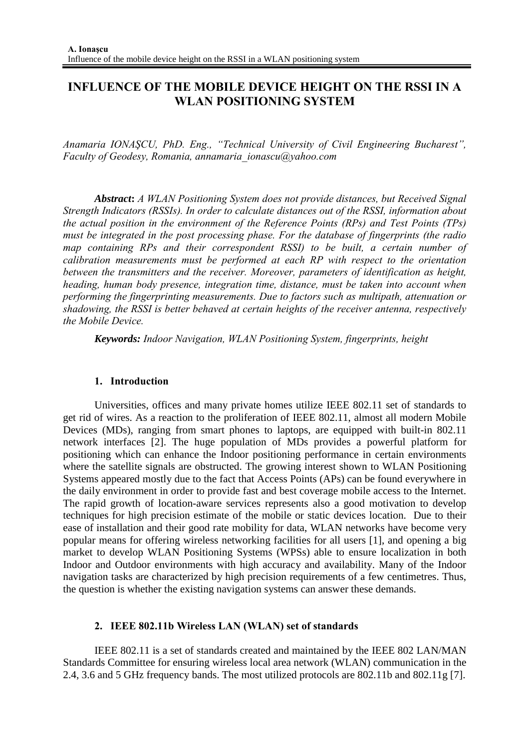# **INFLUENCE OF THE MOBILE DEVICE HEIGHT ON THE RSSI IN A WLAN POSITIONING SYSTEM**

*Anamaria IONAŞCU, PhD. Eng., "Technical University of Civil Engineering Bucharest", Faculty of Geodesy, Romania, annamaria\_ionascu@yahoo.com* 

*Abstract***:** *A WLAN Positioning System does not provide distances, but Received Signal Strength Indicators (RSSIs). In order to calculate distances out of the RSSI, information about the actual position in the environment of the Reference Points (RPs) and Test Points (TPs) must be integrated in the post processing phase. For the database of fingerprints (the radio map containing RPs and their correspondent RSSI) to be built, a certain number of calibration measurements must be performed at each RP with respect to the orientation between the transmitters and the receiver. Moreover, parameters of identification as height, heading, human body presence, integration time, distance, must be taken into account when performing the fingerprinting measurements. Due to factors such as multipath, attenuation or shadowing, the RSSI is better behaved at certain heights of the receiver antenna, respectively the Mobile Device.* 

*Keywords: Indoor Navigation, WLAN Positioning System, fingerprints, height*

### **1. Introduction**

Universities, offices and many private homes utilize IEEE 802.11 set of standards to get rid of wires. As a reaction to the proliferation of IEEE 802.11, almost all modern Mobile Devices (MDs), ranging from smart phones to laptops, are equipped with built-in 802.11 network interfaces [2]. The huge population of MDs provides a powerful platform for positioning which can enhance the Indoor positioning performance in certain environments where the satellite signals are obstructed. The growing interest shown to WLAN Positioning Systems appeared mostly due to the fact that Access Points (APs) can be found everywhere in the daily environment in order to provide fast and best coverage mobile access to the Internet. The rapid growth of location-aware services represents also a good motivation to develop techniques for high precision estimate of the mobile or static devices location. Due to their ease of installation and their good rate mobility for data, WLAN networks have become very popular means for offering wireless networking facilities for all users [1], and opening a big market to develop WLAN Positioning Systems (WPSs) able to ensure localization in both Indoor and Outdoor environments with high accuracy and availability. Many of the Indoor navigation tasks are characterized by high precision requirements of a few centimetres. Thus, the question is whether the existing navigation systems can answer these demands.

### **2. IEEE 802.11b Wireless LAN (WLAN) set of standards**

IEEE 802.11 is a set of standards created and maintained by the IEEE 802 LAN/MAN Standards Committee for ensuring wireless local area network (WLAN) communication in the 2.4, 3.6 and 5 GHz frequency bands. The most utilized protocols are 802.11b and 802.11g [7].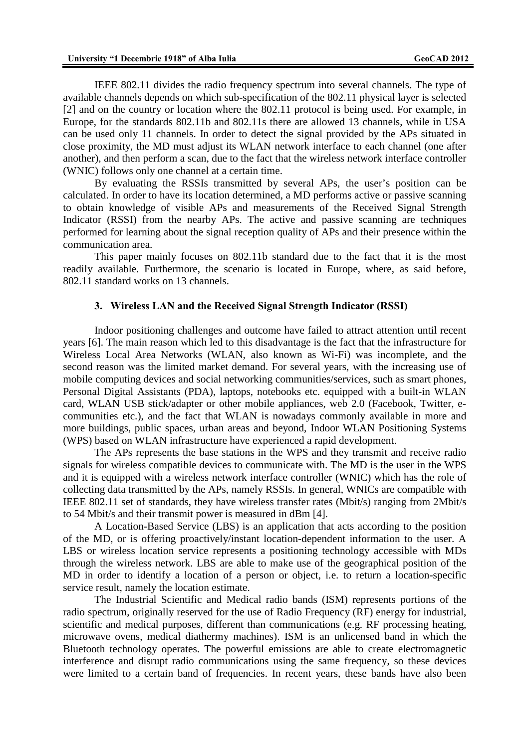IEEE 802.11 divides the radio frequency spectrum into several channels. The type of available channels depends on which sub-specification of the 802.11 physical layer is selected [2] and on the country or location where the 802.11 protocol is being used. For example, in Europe, for the standards 802.11b and 802.11s there are allowed 13 channels, while in USA can be used only 11 channels. In order to detect the signal provided by the APs situated in close proximity, the MD must adjust its WLAN network interface to each channel (one after another), and then perform a scan, due to the fact that the wireless network interface controller (WNIC) follows only one channel at a certain time.

By evaluating the RSSIs transmitted by several APs, the user's position can be calculated. In order to have its location determined, a MD performs active or passive scanning to obtain knowledge of visible APs and measurements of the Received Signal Strength Indicator (RSSI) from the nearby APs. The active and passive scanning are techniques performed for learning about the signal reception quality of APs and their presence within the communication area.

This paper mainly focuses on 802.11b standard due to the fact that it is the most readily available. Furthermore, the scenario is located in Europe, where, as said before, 802.11 standard works on 13 channels.

#### **3. Wireless LAN and the Received Signal Strength Indicator (RSSI)**

Indoor positioning challenges and outcome have failed to attract attention until recent years [6]. The main reason which led to this disadvantage is the fact that the infrastructure for Wireless Local Area Networks (WLAN, also known as Wi-Fi) was incomplete, and the second reason was the limited market demand. For several years, with the increasing use of mobile computing devices and social networking communities/services, such as smart phones, Personal Digital Assistants (PDA), laptops, notebooks etc. equipped with a built-in WLAN card, WLAN USB stick/adapter or other mobile appliances, web 2.0 (Facebook, Twitter, ecommunities etc.), and the fact that WLAN is nowadays commonly available in more and more buildings, public spaces, urban areas and beyond, Indoor WLAN Positioning Systems (WPS) based on WLAN infrastructure have experienced a rapid development.

The APs represents the base stations in the WPS and they transmit and receive radio signals for wireless compatible devices to communicate with. The MD is the user in the WPS and it is equipped with a wireless network interface controller (WNIC) which has the role of collecting data transmitted by the APs, namely RSSIs. In general, WNICs are compatible with IEEE 802.11 set of standards, they have wireless transfer rates (Mbit/s) ranging from 2Mbit/s to 54 Mbit/s and their transmit power is measured in dBm [4].

A Location-Based Service (LBS) is an application that acts according to the position of the MD, or is offering proactively/instant location-dependent information to the user. A LBS or wireless location service represents a positioning technology accessible with MDs through the wireless network. LBS are able to make use of the geographical position of the MD in order to identify a location of a person or object, i.e. to return a location-specific service result, namely the location estimate.

The Industrial Scientific and Medical radio bands (ISM) represents portions of the radio spectrum, originally reserved for the use of Radio Frequency (RF) energy for industrial, scientific and medical purposes, different than communications (e.g. RF processing heating, microwave ovens, medical diathermy machines). ISM is an unlicensed band in which the Bluetooth technology operates. The powerful emissions are able to create electromagnetic interference and disrupt radio communications using the same frequency, so these devices were limited to a certain band of frequencies. In recent years, these bands have also been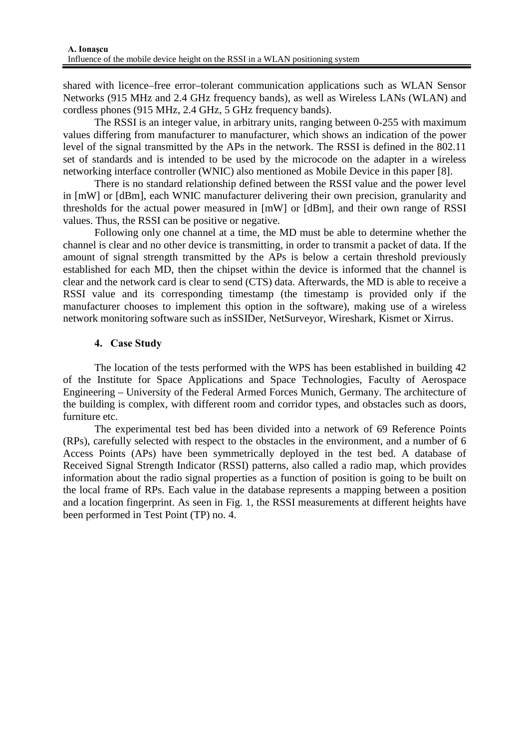shared with licence–free error–tolerant communication applications such as WLAN Sensor Networks (915 MHz and 2.4 GHz frequency bands), as well as Wireless LANs (WLAN) and cordless phones (915 MHz, 2.4 GHz, 5 GHz frequency bands).

The RSSI is an integer value, in arbitrary units, ranging between 0-255 with maximum values differing from manufacturer to manufacturer, which shows an indication of the power level of the signal transmitted by the APs in the network. The RSSI is defined in the 802.11 set of standards and is intended to be used by the microcode on the adapter in a wireless networking interface controller (WNIC) also mentioned as Mobile Device in this paper [8].

There is no standard relationship defined between the RSSI value and the power level in [mW] or [dBm], each WNIC manufacturer delivering their own precision, granularity and thresholds for the actual power measured in [mW] or [dBm], and their own range of RSSI values. Thus, the RSSI can be positive or negative.

Following only one channel at a time, the MD must be able to determine whether the channel is clear and no other device is transmitting, in order to transmit a packet of data. If the amount of signal strength transmitted by the APs is below a certain threshold previously established for each MD, then the chipset within the device is informed that the channel is clear and the network card is clear to send (CTS) data. Afterwards, the MD is able to receive a RSSI value and its corresponding timestamp (the timestamp is provided only if the manufacturer chooses to implement this option in the software), making use of a wireless network monitoring software such as inSSIDer, NetSurveyor, Wireshark, Kismet or Xirrus.

## **4. Case Study**

The location of the tests performed with the WPS has been established in building 42 of the Institute for Space Applications and Space Technologies, Faculty of Aerospace Engineering – University of the Federal Armed Forces Munich, Germany. The architecture of the building is complex, with different room and corridor types, and obstacles such as doors, furniture etc.

The experimental test bed has been divided into a network of 69 Reference Points (RPs), carefully selected with respect to the obstacles in the environment, and a number of 6 Access Points (APs) have been symmetrically deployed in the test bed. A database of Received Signal Strength Indicator (RSSI) patterns, also called a radio map, which provides information about the radio signal properties as a function of position is going to be built on the local frame of RPs. Each value in the database represents a mapping between a position and a location fingerprint. As seen in Fig. 1, the RSSI measurements at different heights have been performed in Test Point (TP) no. 4.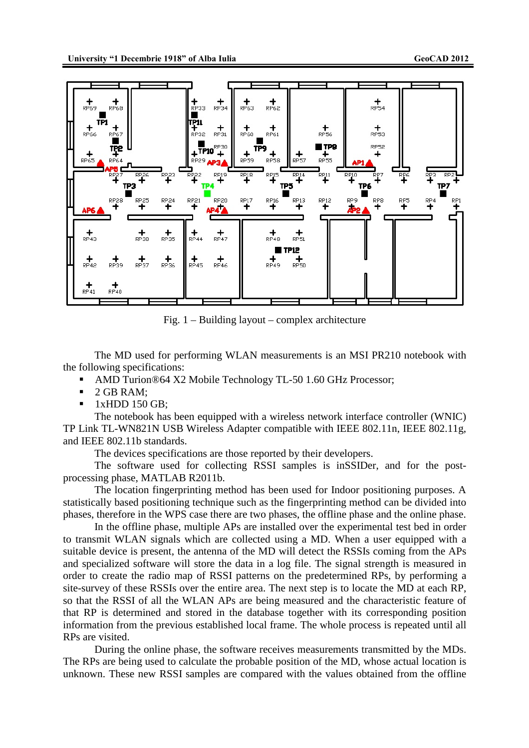

Fig. 1 – Building layout – complex architecture

The MD used for performing WLAN measurements is an MSI PR210 notebook with the following specifications:

- AMD Turion®64 X2 Mobile Technology TL-50 1.60 GHz Processor;
- 2 GB RAM:
- 1xHDD 150 GB;

The notebook has been equipped with a wireless network interface controller (WNIC) TP Link TL-WN821N USB Wireless Adapter compatible with IEEE 802.11n, IEEE 802.11g, and IEEE 802.11b standards.

The devices specifications are those reported by their developers.

The software used for collecting RSSI samples is inSSIDer, and for the postprocessing phase, MATLAB R2011b.

The location fingerprinting method has been used for Indoor positioning purposes. A statistically based positioning technique such as the fingerprinting method can be divided into phases, therefore in the WPS case there are two phases, the offline phase and the online phase.

In the offline phase, multiple APs are installed over the experimental test bed in order to transmit WLAN signals which are collected using a MD. When a user equipped with a suitable device is present, the antenna of the MD will detect the RSSIs coming from the APs and specialized software will store the data in a log file. The signal strength is measured in order to create the radio map of RSSI patterns on the predetermined RPs, by performing a site-survey of these RSSIs over the entire area. The next step is to locate the MD at each RP, so that the RSSI of all the WLAN APs are being measured and the characteristic feature of that RP is determined and stored in the database together with its corresponding position information from the previous established local frame. The whole process is repeated until all RPs are visited.

During the online phase, the software receives measurements transmitted by the MDs. The RPs are being used to calculate the probable position of the MD, whose actual location is unknown. These new RSSI samples are compared with the values obtained from the offline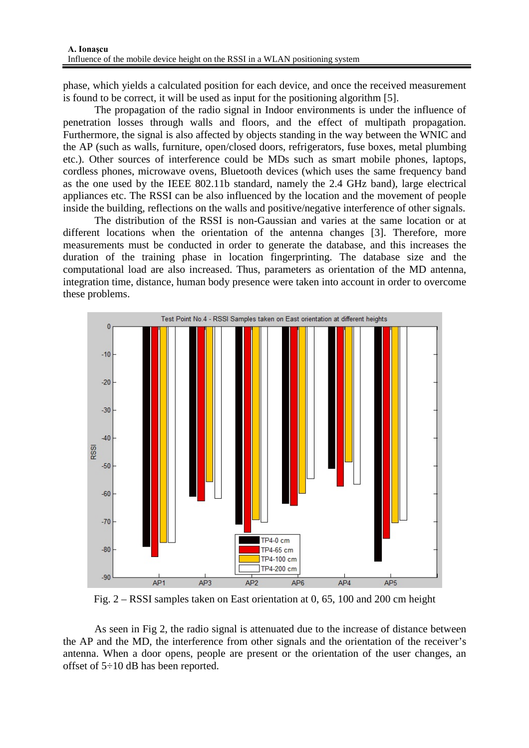phase, which yields a calculated position for each device, and once the received measurement is found to be correct, it will be used as input for the positioning algorithm [5].

The propagation of the radio signal in Indoor environments is under the influence of penetration losses through walls and floors, and the effect of multipath propagation. Furthermore, the signal is also affected by objects standing in the way between the WNIC and the AP (such as walls, furniture, open/closed doors, refrigerators, fuse boxes, metal plumbing etc.). Other sources of interference could be MDs such as smart mobile phones, laptops, cordless phones, microwave ovens, Bluetooth devices (which uses the same frequency band as the one used by the IEEE 802.11b standard, namely the 2.4 GHz band), large electrical appliances etc. The RSSI can be also influenced by the location and the movement of people inside the building, reflections on the walls and positive/negative interference of other signals.

The distribution of the RSSI is non-Gaussian and varies at the same location or at different locations when the orientation of the antenna changes [3]. Therefore, more measurements must be conducted in order to generate the database, and this increases the duration of the training phase in location fingerprinting. The database size and the computational load are also increased. Thus, parameters as orientation of the MD antenna, integration time, distance, human body presence were taken into account in order to overcome these problems.



Fig. 2 – RSSI samples taken on East orientation at 0, 65, 100 and 200 cm height

As seen in Fig 2, the radio signal is attenuated due to the increase of distance between the AP and the MD, the interference from other signals and the orientation of the receiver's antenna. When a door opens, people are present or the orientation of the user changes, an offset of 5÷10 dB has been reported.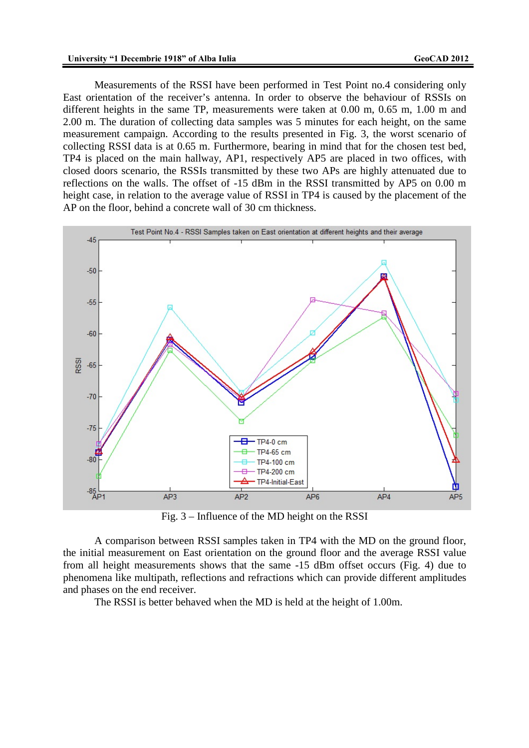Measurements of the RSSI have been performed in Test Point no.4 considering only East orientation of the receiver's antenna. In order to observe the behaviour of RSSIs on different heights in the same TP, measurements were taken at 0.00 m, 0.65 m, 1.00 m and 2.00 m. The duration of collecting data samples was 5 minutes for each height, on the same measurement campaign. According to the results presented in Fig. 3, the worst scenario of collecting RSSI data is at 0.65 m. Furthermore, bearing in mind that for the chosen test bed, TP4 is placed on the main hallway, AP1, respectively AP5 are placed in two offices, with closed doors scenario, the RSSIs transmitted by these two APs are highly attenuated due to reflections on the walls. The offset of -15 dBm in the RSSI transmitted by AP5 on 0.00 m height case, in relation to the average value of RSSI in TP4 is caused by the placement of the AP on the floor, behind a concrete wall of 30 cm thickness.



Fig. 3 – Influence of the MD height on the RSSI

A comparison between RSSI samples taken in TP4 with the MD on the ground floor, the initial measurement on East orientation on the ground floor and the average RSSI value from all height measurements shows that the same -15 dBm offset occurs (Fig. 4) due to phenomena like multipath, reflections and refractions which can provide different amplitudes and phases on the end receiver.

The RSSI is better behaved when the MD is held at the height of 1.00m.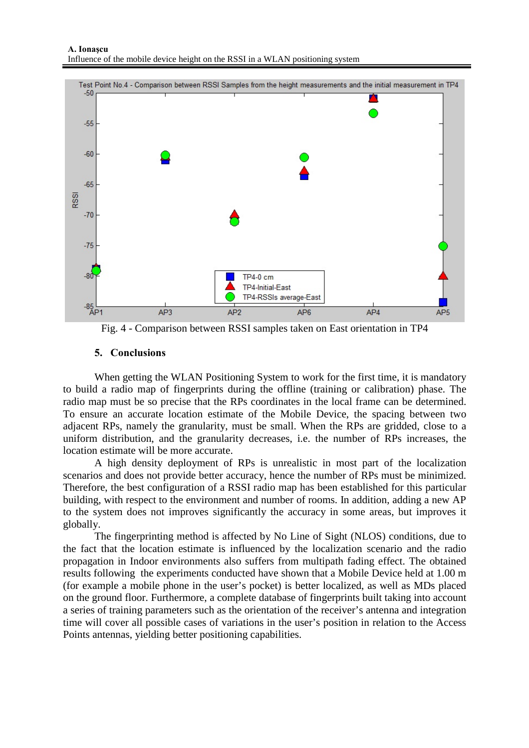

Fig. 4 - Comparison between RSSI samples taken on East orientation in TP4

# **5. Conclusions**

When getting the WLAN Positioning System to work for the first time, it is mandatory to build a radio map of fingerprints during the offline (training or calibration) phase. The radio map must be so precise that the RPs coordinates in the local frame can be determined. To ensure an accurate location estimate of the Mobile Device, the spacing between two adjacent RPs, namely the granularity, must be small. When the RPs are gridded, close to a uniform distribution, and the granularity decreases, i.e. the number of RPs increases, the location estimate will be more accurate.

A high density deployment of RPs is unrealistic in most part of the localization scenarios and does not provide better accuracy, hence the number of RPs must be minimized. Therefore, the best configuration of a RSSI radio map has been established for this particular building, with respect to the environment and number of rooms. In addition, adding a new AP to the system does not improves significantly the accuracy in some areas, but improves it globally.

The fingerprinting method is affected by No Line of Sight (NLOS) conditions, due to the fact that the location estimate is influenced by the localization scenario and the radio propagation in Indoor environments also suffers from multipath fading effect. The obtained results following the experiments conducted have shown that a Mobile Device held at 1.00 m (for example a mobile phone in the user's pocket) is better localized, as well as MDs placed on the ground floor. Furthermore, a complete database of fingerprints built taking into account a series of training parameters such as the orientation of the receiver's antenna and integration time will cover all possible cases of variations in the user's position in relation to the Access Points antennas, yielding better positioning capabilities.